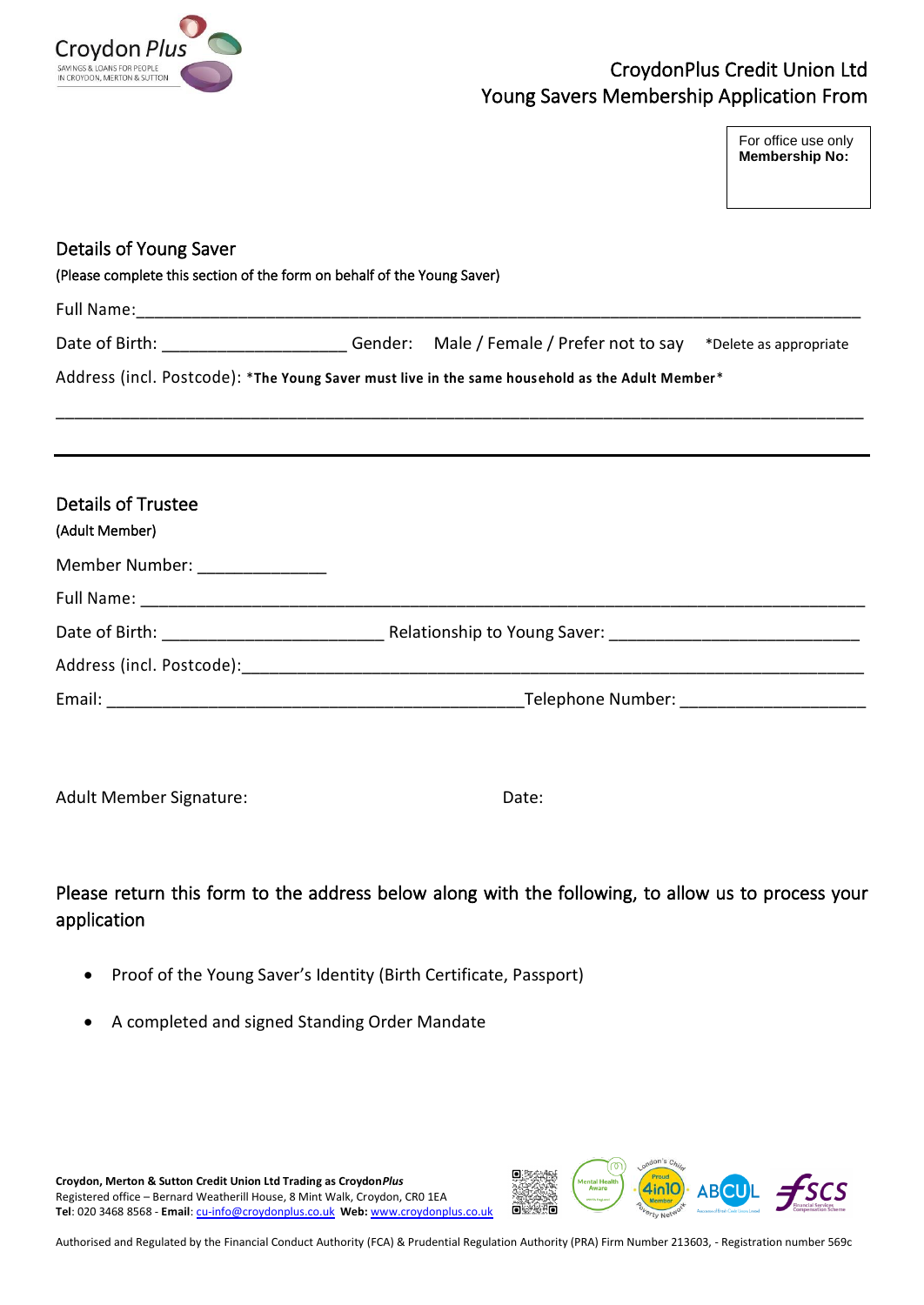

## CroydonPlus Credit Union Ltd Young Savers Membership Application From

For office use only **Membership No:** 

| Details of Young Saver<br>(Please complete this section of the form on behalf of the Young Saver) |                                                                                                         |
|---------------------------------------------------------------------------------------------------|---------------------------------------------------------------------------------------------------------|
|                                                                                                   |                                                                                                         |
|                                                                                                   | Date of Birth: ________________________Gender: Male / Female / Prefer not to say *Delete as appropriate |
|                                                                                                   | Address (incl. Postcode): *The Young Saver must live in the same household as the Adult Member*         |
|                                                                                                   |                                                                                                         |
|                                                                                                   |                                                                                                         |
| <b>Details of Trustee</b><br>(Adult Member)                                                       |                                                                                                         |
| Member Number: ________________                                                                   |                                                                                                         |
|                                                                                                   |                                                                                                         |
|                                                                                                   |                                                                                                         |
|                                                                                                   |                                                                                                         |
|                                                                                                   |                                                                                                         |

Adult Member Signature: Date: Date:

Please return this form to the address below along with the following, to allow us to process your application

- Proof of the Young Saver's Identity (Birth Certificate, Passport)
- A completed and signed Standing Order Mandate

**Croydon, Merton & Sutton Credit Union Ltd Trading as Croydon***Plus* Registered office – Bernard Weatherill House, 8 Mint Walk, Croydon, CR0 1EA **Tel**: 020 3468 8568 - **Email**[: cu-info@croydonplus.co.uk](mailto:cu-info@croydonplus.co.uk) **Web:** [www.croydonplus.co.uk](http://www.croydonplus.co.uk/)



Authorised and Regulated by the Financial Conduct Authority (FCA) & Prudential Regulation Authority (PRA) Firm Number 213603, - Registration number 569c